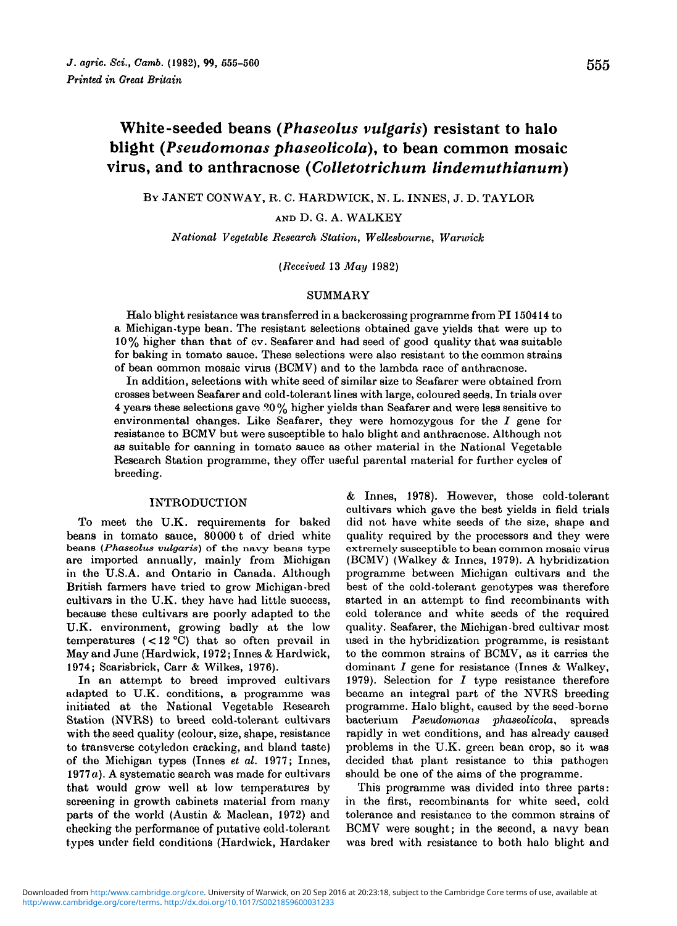# White-seeded beans *{Phaseolus vulgaris)* resistant to halo blight *(Pseudomonas phaseolicola),* to bean common mosaic virus, and to anthracnose *(Colletotrichum lindemuthianum)*

BY JANET CONWAY, R. C. HARDWICK, N. L. INNES, J. D. TAYLOR

AND D. G. A. WALKEY

*National Vegetable Research Station, Wellesbourne, Warwick*

*(Received* 13 *May* 1982)

## SUMMARY

Halo blight resistance was transferred in a backcrossing programme from PI 150414 to a Michigan-type bean. The resistant selections obtained gave yields that were up to 10% higher than that of cv. Seafarer and had seed of good quality that was suitable for baking in tomato sauce. These selections were also resistant to the common strains of bean common mosaic virus (BCMV) and to the lambda race of anthracnose.

In addition, selections with white seed of similar size to Seafarer were obtained from crosses between Seafarer and cold-tolerant lines with large, coloured seeds. In trials over 4 years these selections gave ?0 % higher yields than Seafarer and were less sensitive to environmental changes. Like Seafarer, they were homozygous for the  $I$  gene for resistance to BCMV but were susceptible to halo blight and anthracnose. Although not as suitable for canning in tomato sauce as other material in the National Vegetable Research Station programme, they offer useful parental material for further cycles of breeding.

#### INTRODUCTION

To meet the U.K. requirements for baked beans in tomato sauce,  $80000$  t of dried white beans in tomato sauce, 80000 t of dried white quality required by the processors and they were<br>beans (*Phaseolus vulgaris*) of the navy beans type extremely susceptible to bean common mosaic virus are imported annually, mainly from Michigan (BCMV) (Walkey & Innes, 1979). A hybridization<br>in the U.S.A. and Ontario in Canada. Although programme between Michigan cultivars and the in the U.S.A. and Ontario in Canada. Although programme between Michigan cultivars and the British farmers have tried to grow Michigan-bred best of the cold-tolerant genotypes was therefore cultivars in the U.K. they have had little success, started in an attempt to find recombinants with cultivars in the U.K. they have had little success, started in an attempt to find recombinants with because these cultivars are poorly adapted to the cold tolerance and white seeds of the required because these cultivars are poorly adapted to the cold tolerance and white seeds of the required U.K. environment, growing badly at the low quality. Seafarer, the Michigan-bred cultivar most U.K. environment, growing badly at the low quality. Seafarer, the Michigan-bred cultivar most temperatures  $(< 12 °C)$  that so often prevail in used in the hybridization programme, is resistant temperatures  $(<12 °C)$  that so often prevail in used in the hybridization programme, is resistant May and June (Hardwick, 1972; Innes & Hardwick, to the common strains of BCMV, as it carries the May and June (Hardwick, 1972; Innes & Hardwick, 1974; Scarisbrick, Carr & Wilkes, 1976).

In an attempt to breed improved cultivars adapted to U.K. conditions, a programme was became an integral part of the NVRS breeding initiated at the National Vegetable Research programme. Halo blight, caused by the seed-borne<br>Station (NVRS) to breed cold-tolerant cultivars bacterium *Pseudomonas phaseolicola*, spreads Station (NVRS) to breed cold-tolerant cultivars with the seed quality (colour, size, shape, resistance rapidly in wet conditions, and has already caused to transverse cotyledon cracking, and bland taste) problems in the U.K. green bean crop, so it was of the Michigan types (Innes *el al.* 1977; Innes, decided that plant resistance to this pathogen 1977a). A systematic search was made for cultivars should be one of the aims of the programme, that would grow well at low temperatures by This programme was divided into three parts: screening in growth cabinets material from many in the first, recombinants for white seed, cold parts of the world (Austin & Maclean, 1972) and tolerance and resistance to the common strains of checking the performance of putative cold-tolerant BCMV were sought; in the second, a navy bean types under field conditions (Hardwick, Hardaker was bred with resistance to both halo blight and

 $&$  Innes, 1978). However, those cold-tolerant cultivars which gave the best yields in field trials extremely susceptible to bean common mosaic virus (BCMV) (Walkey & Innes, 1979). A hybridization dominant  $I$  gene for resistance (Innes & Walkey, 1979). Selection for  $I$  type resistance therefore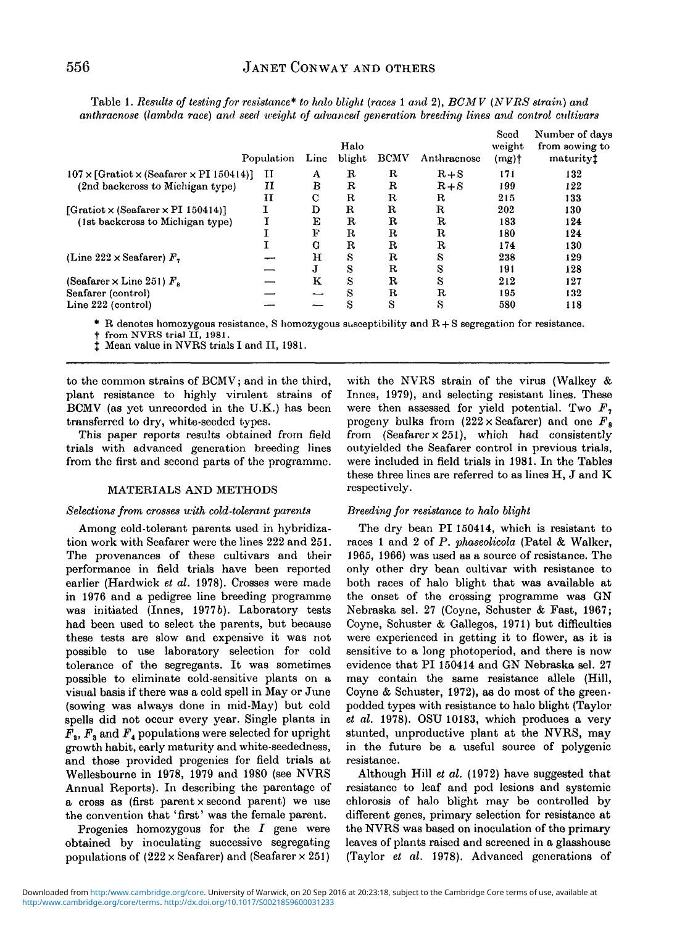|                                                               | Population | Line | Halo<br>blight | <b>BCMV</b> | Anthracnose | Seed<br>weight<br>$(mg)$ † | Number of days<br>from sowing to<br>maturityt |
|---------------------------------------------------------------|------------|------|----------------|-------------|-------------|----------------------------|-----------------------------------------------|
| $107 \times$ [Gratiot $\times$ (Seafarer $\times$ PI 150414)] | п          | A    | R              | R           | $R + S$     | 171                        | 132                                           |
| (2nd backcross to Michigan type)                              | 11         | В    | R              | R           | $R + S$     | 199                        | 122                                           |
|                                                               | и          | C    | $\mathbf R$    | $_{\rm R}$  | R           | 215                        | 133                                           |
| [Gratiot $\times$ (Seafarer $\times$ PI 150414)]              |            | D    | $\mathbf R$    | R           | $_{\rm R}$  | 202                        | 130                                           |
| (1st backcross to Michigan type)                              |            | E    | R              | R           | R           | 183                        | 124                                           |
|                                                               |            | F    | $_{\rm R}$     | $\mathbf R$ | R           | 180                        | 124                                           |
|                                                               |            | G    | $_{\rm R}$     | R           | R           | 174                        | 130                                           |
| (Line 222 $\times$ Seafarer) $Fz$                             |            | н    | s              | $\mathbf R$ | S           | 238                        | 129                                           |
|                                                               |            | J    | S              | $_{\rm R}$  | s           | 191                        | 128                                           |
| (Seafarer $\times$ Line 251) $F_s$                            |            | ĸ    | S              | R           | s           | 212                        | 127                                           |
| Seafarer (control)                                            |            | ---  | S              | $_{\rm R}$  | R           | 195                        | 132                                           |
| Line 222 (control)                                            |            |      | S              | S           | s           | 580                        | 118                                           |

Table 1. *Results of testing for resistance\* to halo blight {races* 1 *and* 2), *BCMV (NVRS strain) and anthracnose (lambda race) and. seed weight of advanced generation breeding lines and control cidtivars*

\* R denotes homozygous resistance, S homozygous susceptibility and  $R + S$  segregation for resistance.<br>† from NVRS trial II, 1981. j<br>1 Mean value in NVRS trials I and II, 1981.

to the common strains of BCMV; and in the third, plant resistance to highly virulent strains of BCMV (as yet unrecorded in the U.K.) has been transferred to dry, white-seeded types.

This paper reports results obtained from field trials with advanced generation breeding lines from the first and second parts of the programme.

## MATERIALS AND METHODS

## *Selections from crosses with cold-tolerant parents*

Among cold-tolerant parents used in hybridization work with Seafarer were the lines 222 and 251. The provenances of these cultivars and their performance in field trials have been reported earlier (Hardwick *et al.* 1978). Crosses were made in 1976 and a pedigree line breeding programme was initiated (Innes, 19776). Laboratory tests had been used to select the parents, but because these tests are slow and expensive it was not possible to use laboratory selection for cold tolerance of the segregants. It was sometimes possible to eliminate cold-sensitive plants on a visual basis if there was a cold spell in May or June (sowing was always done in mid-May) but cold spells did not occur every year. Single plants in  $F<sub>2</sub>, F<sub>3</sub>$  and  $F<sub>4</sub>$  populations were selected for upright growth habit, early maturity and white-seededness, and those provided progenies for field trials at Wellesbourne in 1978, 1979 and 1980 (see NVRS Annual Reports). In describing the parentage of a cross as (first parent x second parent) we use the convention that 'first' was the female parent.

Progenies homozygous for the  $I$  gene were obtained by inoculating successive segregating populations of  $(222 \times \text{Seafarer})$  and (Seafarer  $\times 251$ )

with the NVRS strain of the virus (Walkey & Innes, 1979), and selecting resistant lines. These were then assessed for yield potential. Two  $F<sub>2</sub>$ progeny bulks from  $(222 \times \text{Seafarer})$  and one  $F_s$ from (Seafarer  $\times$  251), which had consistently outyielded the Seafarer control in previous trials, were included in field trials in 1981. In the Tables these three lines are referred to as lines H, J and K respectively.

# *Breeding for resistance to halo blight*

The dry bean PI 150414, which is resistant to races 1 and 2 of *P. phaseolicola* (Patel & Walker, 1965, 1966) was used as a source of resistance. The only other dry bean cultivar with resistance to both races of halo blight that was available at the onset of the crossing programme was GN Nebraska sel. 27 (Coyne, Schuster & Fast, 1967; Coyne, Schuster & Gallegos, 1971) but difficulties were experienced in getting it to flower, as it is sensitive to a long photoperiod, and there is now evidence that PI 150414 and GN Nebraska sel. 27 may contain the same resistance allele (Hill, Coyne & Schuster, 1972), as do most of the greenpodded types with resistance to halo blight (Taylor *et al.* 1978). OSU 10183, which produces a very stunted, unproductive plant at the NVRS, may in the future be a useful source of polygenic resistance.

Although Hill *et al.* (1972) have suggested that resistance to leaf and pod lesions and systemic chlorosis of halo blight may be controlled by different genes, primary selection for resistance at the NVRS was based on inoculation of the primary leaves of plants raised and screened in a glasshouse (Taylor *et al.* 1978). Advanced generations of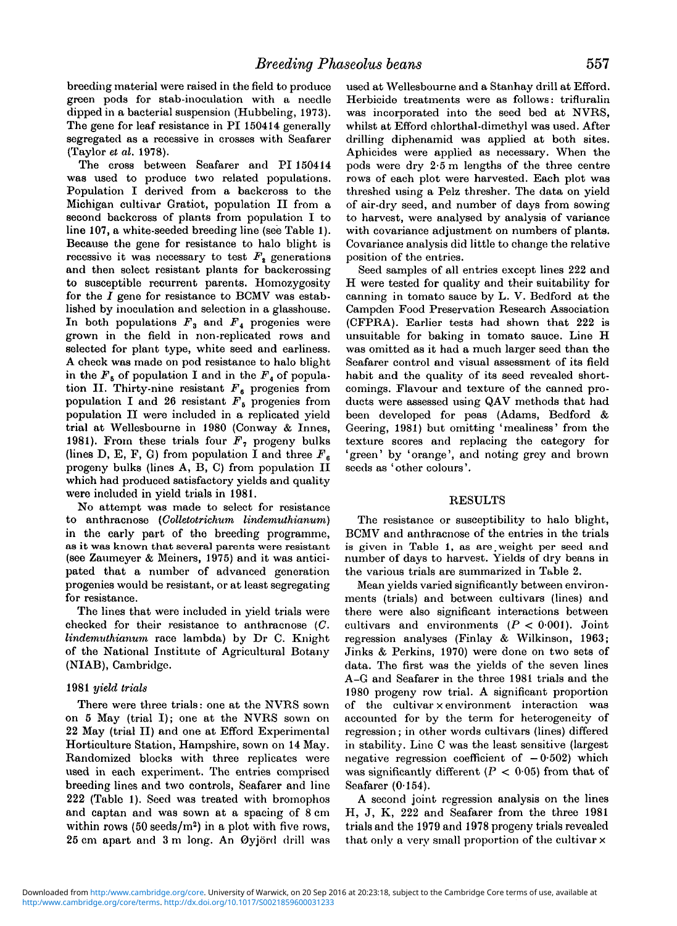breeding material were raised in the field to produce green pods for stab-inoculation with a needle dipped in a bacterial suspension (Hubbeling, 1973). The gene for leaf resistance in PI 150414 generally segregated as a recessive in crosses with Seafarer (Taylor *et al.* 1978).

The cross between Seafarer and PI 150414 was used to produce two related populations. Population I derived from a backcross to the Michigan cultivar Gratiot, population II from a second backcross of plants from population I to line 107, a white-seeded breeding line (see Table 1). Because the gene for resistance to halo blight is recessive it was necessary to test  $F<sub>2</sub>$  generations and then select resistant plants for backcrossing to susceptible recurrent parents. Homozygosity for the  $I$  gene for resistance to BCMV was established by inoculation and selection in a glasshouse. In both populations  $F_3$  and  $F_4$  progenies were grown in the field in non-replicated rows and selected for plant type, white seed and earliness. A check was made on pod resistance to halo blight in the  $F_5$  of population I and in the  $F_4$  of population II. Thirty-nine resistant *Fe* progenies from population I and 26 resistant  $F_5$  progenies from population II were included in a replicated yield trial at Wellesbourne in 1980 (Conway & Innes, 1981). From these trials four  $F<sub>2</sub>$  progeny bulks (lines D, E, F, G) from population I and three  $F<sub>6</sub>$ progeny bulks (lines A, B, C) from population II which had produced satisfactory yields and quality were included in yield trials in 1981.

No attempt was made to select for resistance to anthracnose *(Colletotrichum lindenvuthianum)* in the early part of the breeding programme, as it was known that several parents were resistant (see Zaumeyer & Meiners, 1975) and it was anticipated that a number of advanced generation progenies would be resistant, or at least segregating for resistance.

The lines that were included in yield trials were checked for their resistance to anthracnose (C. *lindemidhianum* race lambda) by Dr C. Knight of the National Institute of Agricultural Botany (NIAB), Cambridge.

#### 1981 *yield trials*

There were three trials: one at the NVRS sown on 5 May (trial I); one at the NVRS sown on 22 May (trial II) and one at Efford Experimental Horticulture Station, Hampshire, sown on 14 May. Randomized blocks with three replicates were used in each experiment. The entries comprised breeding lines and two controls, Seafarer and line 222 (Table 1). Seed was treated with bromophos and captan and was sown at a spacing of 8 cm within rows  $(50 \text{ seeds/m}^2)$  in a plot with five rows, 25 cm apart and 3 m long. An 0yj6rd drill was

used at Wellesbourne and a Stanhay drill at Efford. Herbicide treatments were as follows: trifluralin was incorporated into the seed bed at NVRS, whilst at Efford ehlorthal-dimethyl was used. After drilling diphenamid was applied at both sites. Aphicides were applied as necessary. When the pods were dry 2-5 m lengths of the three centre rows of each plot were harvested. Each plot was threshed using a Pelz thresher. The data on yield of air-dry seed, and number of days from sowing to harvest, were analysed by analysis of variance with covariance adjustment on numbers of plants. Covariance analysis did little to change the relative position of the entries.

Seed samples of all entries except lines 222 and H were tested for quality and their suitability for canning in tomato sauce by L. V. Bedford at the Campden Food Preservation Research Association (CFPRA). Earlier tests had shown that 222 is unsuitable for baking in tomato sauce. Line H was omitted as it had a much larger seed than the Seafarer control and visual assessment of its field habit and the quality of its seed revealed shortcomings. Flavour and texture of the canned products were assessed using QAV methods that had been developed for peas (Adams, Bedford & Geering, 1981) but omitting 'mealiness' from the texture scores and replacing the category for 'green' by 'orange', and noting grey and brown seeds as 'other colours'.

#### RESULTS

The resistance or susceptibility to halo blight, BCMV and anthracnose of the entries in the trials is given in Table 1, as are.weight per seed and number of days to harvest. Yields of dry beans in the various trials are summarized in Table 2.

Mean yields varied significantly between environments (trials) and between cultivars (lines) and there were also significant interactions between cultivars and environments *{P <* 0-001). Joint regression analyses (Finlay & Wilkinson, 1963; Jinks & Perkins, 1970) were done on two sets of data. The first was the yields of the seven lines A-G and Seafarer in the three 1981 trials and the 1980 progeny row trial. A significant proportion of the cultivar x environment interaction was accounted for by the term for heterogeneity of regression; in other words cultivars (lines) differed in stability. Line C was the least sensitive (largest negative regression coefficient of  $-0.502$ ) which was significantly different  $(P < 0.05)$  from that of Seafarer (0-154).

A second joint regression analysis on the lines H, J, K, 222 and Seafarer from the three 1981 trials and the 1979 and 1978 progeny trials revealed that only a very small proportion of the cultivar x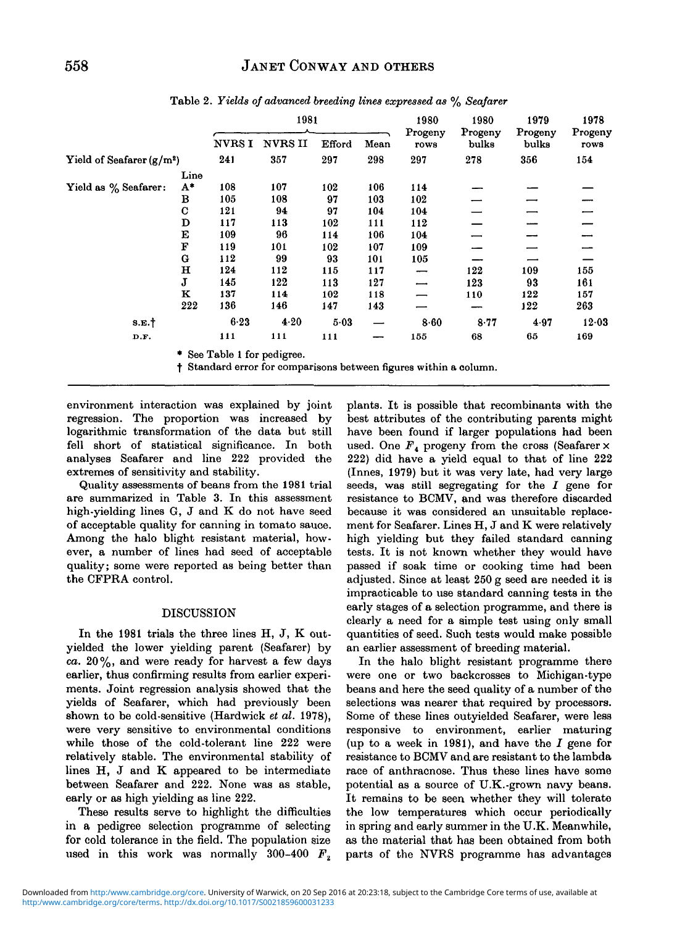|                             |             | 1981                                       |                |        | 1980 | 1980            | 1979             | 1978             |                 |
|-----------------------------|-------------|--------------------------------------------|----------------|--------|------|-----------------|------------------|------------------|-----------------|
|                             |             | <b>NVRSI</b>                               | <b>NVRS II</b> | Efford | Mean | Progeny<br>rows | Progeny<br>bulks | Progeny<br>bulks | Progeny<br>rows |
| Yield of Seafarer $(g/m^2)$ |             | 241                                        | 357            | 297    | 298  | 297             | 278              | 356              | 154             |
|                             | Line        |                                            |                |        |      |                 |                  |                  |                 |
| Yield as % Seafarer:        | $A^*$       | 108                                        | 107            | 102    | 106  | 114             |                  |                  |                 |
|                             | в           | 105                                        | 108            | 97     | 103  | 102             |                  |                  |                 |
|                             | $\mathbf C$ | 121                                        | 94             | 97     | 104  | 104             |                  |                  |                 |
|                             | D           | 117                                        | 113            | 102    | 111  | 112             |                  |                  |                 |
|                             | Е           | 109                                        | 96             | 114    | 106  | 104             |                  |                  |                 |
|                             | F           | 119                                        | 101            | 102    | 107  | 109             |                  |                  |                 |
|                             | G           | 112                                        | 99             | 93     | 101  | 105             |                  |                  |                 |
|                             | $\mathbf H$ | 124                                        | 112            | 115    | 117  |                 | 122              | 109              | 155             |
|                             | J           | 145                                        | 122            | 113    | 127  |                 | 123              | 93               | 161             |
|                             | к           | 137                                        | 114            | 102    | 118  |                 | 110              | 122              | 157             |
|                             | 222         | 136                                        | 146            | 147    | 143  |                 |                  | 122              | 263             |
| $S.E.$ †                    |             | 6.23                                       | 4.20           | 5.03   |      | 8.60            | 8.77             | 4.97             | 12.03           |
| D.F.                        |             | 111                                        | 111            | 111    |      | 155             | 68               | 65               | 169             |
|                             |             | $\pm$ C <sub>an</sub> Table 1 for padience |                |        |      |                 |                  |                  |                 |

Table 2. *Yields of advanced breeding lines expressed as % Seafarer*

\* See Table 1 for pedigree.

•f Standard error for comparisons between figures within a column.

environment interaction was explained by joint regression. The proportion was increased by logarithmic transformation of the data but still fell short of statistical significance. In both analyses Seafarer and line 222 provided the extremes of sensitivity and stability.

Quality assessments of beans from the 1981 trial are summarized in Table 3. In this assessment high-yielding lines G, J and K do not have seed of acceptable quality for canning in tomato sauce. Among the halo blight resistant material, however, a number of lines had seed of acceptable quality; some were reported as being better than the CFPRA control.

### DISCUSSION

In the 1981 trials the three lines H, J, K outyielded the lower yielding parent (Seafarer) by ca.  $20\%$ , and were ready for harvest a few days earlier, thus confirming results from earlier experiments. Joint regression analysis showed that the yields of Seafarer, which had previously been shown to be cold-sensitive (Hardwick *et al.* 1978), were very sensitive to environmental conditions while those of the cold-tolerant line 222 were relatively stable. The environmental stability of lines H, J and K appeared to be intermediate between Seafarer and 222. None was as stable, early or as high yielding as line 222.

These results serve to highlight the difficulties in a pedigree selection programme of selecting for cold tolerance in the field. The population size used in this work was normally 300-400  $F<sub>2</sub>$  plants. It is possible that recombinants with the best attributes of the contributing parents might have been found if larger populations had been used. One  $F_4$  progeny from the cross (Seafarer  $\times$ 222) did have a yield equal to that of line 222 (Innes, 1979) but it was very late, had very large seeds, was still segregating for the  $I$  gene for resistance to BCMV, and was therefore discarded because it was considered an unsuitable replacement for Seafarer. Lines H, J and K were relatively high yielding but they failed standard canning tests. It is not known whether they would have passed if soak time or cooking time had been adjusted. Since at least 250 g seed are needed it is impracticable to use standard canning tests in the early stages of a selection programme, and there is clearly a need for a simple test using only small quantities of seed. Such tests would make possible an earlier assessment of breeding material.

In the halo blight resistant programme there were one or two backcrosses to Michigan-type beans and here the seed quality of a number of the selections was nearer that required by processors. Some of these lines outyielded Seafarer, were less responsive to environment, earlier maturing (up to a week in 1981), and have the *I* gene for resistance to BCMV and are resistant to the lambda race of anthracnose. Thus these lines have some potential as a source of U.K.-grown navy beans. It remains to be seen whether they will tolerate the low temperatures which occur periodically in spring and early summer in the U.K. Meanwhile, as the material that has been obtained from both parts of the NVRS programme has advantages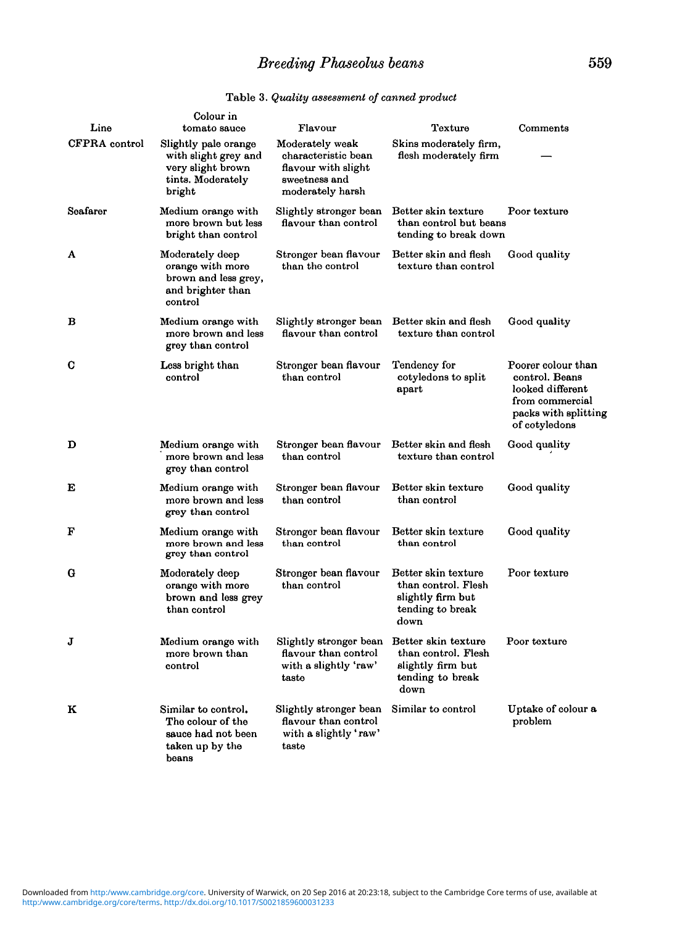# *Breeding Phaseolus beans* 559

| Line          | Colour in<br>tomato sauce                                                                        | Flavour                                                                                            | Texture                                                                                     | Comments                                                                                                             |
|---------------|--------------------------------------------------------------------------------------------------|----------------------------------------------------------------------------------------------------|---------------------------------------------------------------------------------------------|----------------------------------------------------------------------------------------------------------------------|
| CFPRA control | Slightly pale orange<br>with slight grey and<br>very slight brown<br>tints. Moderately<br>bright | Moderately weak<br>characteristic bean<br>flavour with slight<br>sweetness and<br>moderately harsh | Skins moderately firm,<br>flesh moderately firm                                             |                                                                                                                      |
| Seafarer      | Medium orange with<br>more brown but less<br>bright than control                                 | Slightly stronger bean<br>flavour than control                                                     | Better skin texture<br>than control but beans<br>tending to break down                      | Poor texture                                                                                                         |
| A             | Moderately deep<br>orange with more<br>brown and less grey,<br>and brighter than<br>control      | Stronger bean flavour<br>than the control                                                          | Better skin and flesh<br>texture than control                                               | Good quality                                                                                                         |
| в             | Medium orange with<br>more brown and less<br>grey than control                                   | Slightly stronger bean<br>flavour than control                                                     | Better skin and flesh<br>texture than control                                               | Good quality                                                                                                         |
| с             | Less bright than<br>control                                                                      | Stronger bean flavour<br>than control                                                              | Tendency for<br>cotyledons to split<br>apart                                                | Poorer colour than<br>control. Beans<br>looked different<br>from commercial<br>packs with splitting<br>of cotyledons |
| D             | Medium orange with<br>more brown and less<br>grey than control                                   | Stronger bean flavour<br>than control                                                              | Better skin and flesh<br>texture than control                                               | Good quality                                                                                                         |
| E             | Medium orange with<br>more brown and less<br>grey than control                                   | Stronger bean flavour<br>than control                                                              | Better skin texture<br>than control                                                         | Good quality                                                                                                         |
| F             | Medium orange with<br>more brown and less<br>grey than control                                   | Stronger bean flavour<br>than control                                                              | Better skin texture<br>than control                                                         | Good quality                                                                                                         |
| G             | Moderately deep<br>orange with more<br>brown and less grey<br>than control                       | Stronger bean flavour<br>than control                                                              | Better skin texture<br>than control. Flesh<br>slightly firm but<br>tending to break<br>down | Poor texture                                                                                                         |
| J             | Medium orange with<br>more brown than<br>control                                                 | Slightly stronger bean<br>flavour than control<br>with a slightly 'raw'<br>taste                   | Better skin texture<br>than control. Flesh<br>slightly firm but<br>tending to break<br>down | Poor texture                                                                                                         |
| к             | Similar to control.<br>The colour of the<br>sauce had not been<br>taken up by the<br>beans       | Slightly stronger bean<br>flavour than control<br>with a slightly 'raw'<br>taste                   | Similar to control                                                                          | Uptake of colour a<br>problem                                                                                        |